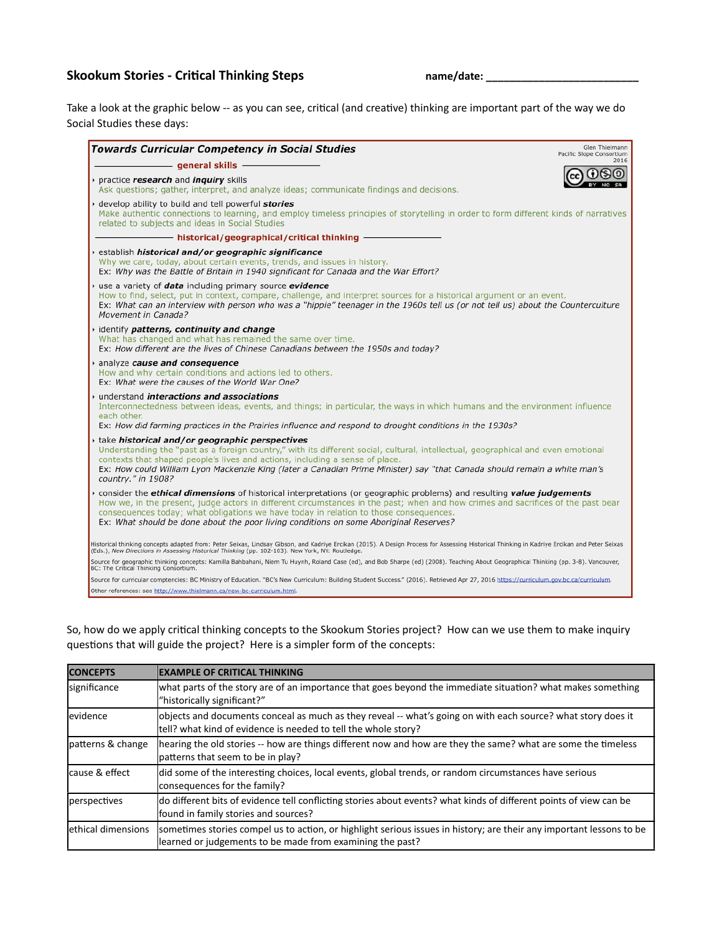## Skookum Stories - Critical Thinking Steps **by Containing the Container Container** and the name/date: <u>\_\_\_\_\_\_\_\_\_\_\_\_\_\_\_\_</u>

Take a look at the graphic below -- as you can see, critical (and creative) thinking are important part of the way we do Social Studies these days:

| <b>Towards Curricular Competency in Social Studies</b>                                                                                                                                                                                                                                                                                                                                                                                                    | Glen Thielmann<br>Pacific Slope Consortium |
|-----------------------------------------------------------------------------------------------------------------------------------------------------------------------------------------------------------------------------------------------------------------------------------------------------------------------------------------------------------------------------------------------------------------------------------------------------------|--------------------------------------------|
| - general skills -                                                                                                                                                                                                                                                                                                                                                                                                                                        | 2016                                       |
| practice research and inquiry skills<br>Ask questions; gather, interpret, and analyze ideas; communicate findings and decisions.                                                                                                                                                                                                                                                                                                                          |                                            |
| develop ability to build and tell powerful stories<br>Make authentic connections to learning, and employ timeless principles of storytelling in order to form different kinds of narratives<br>related to subjects and ideas in Social Studies                                                                                                                                                                                                            |                                            |
| - historical/geographical/critical thinking -                                                                                                                                                                                                                                                                                                                                                                                                             |                                            |
| establish <i>historical and/or geographic significance</i><br>Why we care, today, about certain events, trends, and issues in history.<br>Ex: Why was the Battle of Britain in 1940 significant for Canada and the War Effort?                                                                                                                                                                                                                            |                                            |
| use a variety of data including primary source evidence<br>How to find, select, put in context, compare, challenge, and interpret sources for a historical argument or an event.<br>Ex: What can an interview with person who was a "hippie" teenager in the 1960s tell us (or not tell us) about the Counterculture<br>Movement in Canada?                                                                                                               |                                            |
| identify patterns, continuity and change<br>What has changed and what has remained the same over time.<br>Ex: How different are the lives of Chinese Canadians between the 1950s and today?                                                                                                                                                                                                                                                               |                                            |
| analyze cause and consequence<br>How and why certain conditions and actions led to others.<br>Ex: What were the causes of the World War One?                                                                                                                                                                                                                                                                                                              |                                            |
| understand interactions and associations<br>Interconnectedness between ideas, events, and things; in particular, the ways in which humans and the environment influence<br>each other.<br>Ex: How did farming practices in the Prairies influence and respond to drought conditions in the 1930s?                                                                                                                                                         |                                            |
| take historical and/or geographic perspectives<br>Understanding the "past as a foreign country," with its different social, cultural, intellectual, geographical and even emotional<br>contexts that shaped people's lives and actions, including a sense of place.<br>Ex: How could William Lyon Mackenzie King (later a Canadian Prime Minister) say "that Canada should remain a white man's<br>country." in 1908?                                     |                                            |
| consider the <i>ethical dimensions</i> of historical interpretations (or geographic problems) and resulting <i>value judgements</i><br>How we, in the present, judge actors in different circumstances in the past; when and how crimes and sacrifices of the past bear<br>consequences today; what obligations we have today in relation to those consequences.<br>Ex: What should be done about the poor living conditions on some Aboriginal Reserves? |                                            |
| Historical thinking concepts adapted from: Peter Seixas, Lindsay Gibson, and Kadriye Ercikan (2015). A Design Process for Assessing Historical Thinking in Kadriye Ercikan and Peter Seixas<br>(Eds.), New Directions in Assessing Historical Thinking (pp. 102-103). New York, NY: Routledge.                                                                                                                                                            |                                            |
| Source for geographic thinking concepts: Kamilla Bahbahani, Niem Tu Huynh, Roland Case (ed), and Bob Sharpe (ed) (2008). Teaching About Geographical Thinking (pp. 3-8). Vancouver,<br>BC: The Critical Thinking Consortium.                                                                                                                                                                                                                              |                                            |
| Source for curricular comptencies: BC Ministry of Education. "BC's New Curriculum: Building Student Success." (2016). Retrieved Apr 27, 2016 https://curriculum.gov.bc.ca/curriculum.                                                                                                                                                                                                                                                                     |                                            |
| Other references: see http://www.thielmann.ca/new-bc-curriculum.html.                                                                                                                                                                                                                                                                                                                                                                                     |                                            |

So, how do we apply critical thinking concepts to the Skookum Stories project? How can we use them to make inquiry questions that will guide the project? Here is a simpler form of the concepts:

| <b>CONCEPTS</b>     | <b>IEXAMPLE OF CRITICAL THINKING</b>                                                                                                                                              |
|---------------------|-----------------------------------------------------------------------------------------------------------------------------------------------------------------------------------|
| significance        | what parts of the story are of an importance that goes beyond the immediate situation? what makes something<br>"historically significant?"                                        |
| levidence           | objects and documents conceal as much as they reveal -- what's going on with each source? what story does it<br>tell? what kind of evidence is needed to tell the whole story?    |
| patterns & change   | hearing the old stories -- how are things different now and how are they the same? what are some the timeless<br>lpatterns that seem to be in play?                               |
| cause & effect      | did some of the interesting choices, local events, global trends, or random circumstances have serious<br>consequences for the family?                                            |
| perspectives        | do different bits of evidence tell conflicting stories about events? what kinds of different points of view can be<br>found in family stories and sources?                        |
| lethical dimensions | sometimes stories compel us to action, or highlight serious issues in history; are their any important lessons to be<br>learned or judgements to be made from examining the past? |